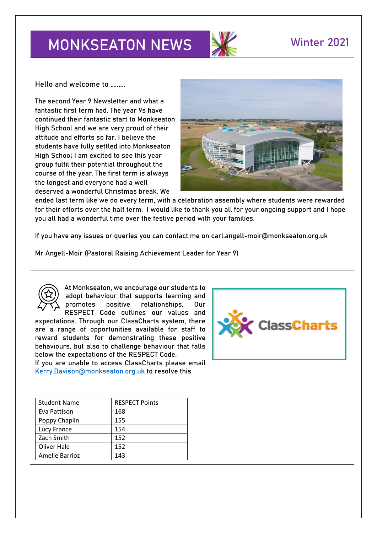## **MONKSEATON NEWS WE Winter 2021**



**Hello and welcome to …......**

The second Year 9 Newsletter and what a fantastic first term had. The year 9s have continued their fantastic start to Monkseaton High School and we are very proud of their attitude and efforts so far. I believe the students have fully settled into Monkseaton High School I am excited to see this year group fulfil their potential throughout the course of the year. The first term is always the longest and everyone had a well deserved a wonderful Christmas break. We



ended last term like we do every term, with a celebration assembly where students were rewarded for their efforts over the half term. I would like to thank you all for your ongoing support and I hope you all had a wonderful time over the festive period with your families.

If you have any issues or queries you can contact me on carl.angell-moir@monkseaton.org.uk

**Mr Angell-Moir (Pastoral Raising Achievement Leader for Year 9)** 

At Monkseaton, we encourage our students to adopt behaviour that supports learning and promotes positive relationships. Our RESPECT Code outlines our values and expectations. Through our ClassCharts system, there are a range of opportunities available for staff to reward students for demonstrating these positive behaviours, but also to challenge behaviour that falls below the expectations of the RESPECT Code.

If you are unable to access ClassCharts please email [Kerry.Davison@monkseaton.org.uk](mailto:Kerry.Davison@monkseaton.org.uk) to resolve this.



| <b>Student Name</b> | <b>RESPECT Points</b> |
|---------------------|-----------------------|
| Eva Pattison        | 168                   |
| Poppy Chaplin       | 155                   |
| Lucy France         | 154                   |
| Zach Smith          | 152                   |
| Oliver Hale         | 152                   |
| Amelie Barrioz      | 143                   |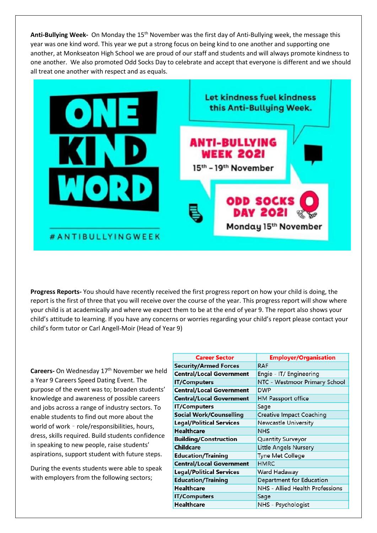**Anti-Bullying Week-** On Monday the 15th November was the first day of Anti-Bullying week, the message this year was one kind word. This year we put a strong focus on being kind to one another and supporting one another, at Monkseaton High School we are proud of our staff and students and will always promote kindness to one another. We also promoted Odd Socks Day to celebrate and accept that everyone is different and we should all treat one another with respect and as equals.



**Progress Reports-** You should have recently received the first progress report on how your child is doing, the report is the first of three that you will receive over the course of the year. This progress report will show where your child is at academically and where we expect them to be at the end of year 9. The report also shows your child's attitude to learning. If you have any concerns or worries regarding your child's report please contact your child's form tutor or Carl Angell-Moir (Head of Year 9)

**Careers-** On Wednesday 17<sup>th</sup> November we held a Year 9 Careers Speed Dating Event. The purpose of the event was to; broaden students' knowledge and awareness of possible careers and jobs across a range of industry sectors. To enable students to find out more about the world of work – role/responsibilities, hours, dress, skills required. Build students confidence in speaking to new people, raise students' aspirations, support student with future steps.

During the events students were able to speak with employers from the following sectors;

| <b>Career Sector</b>            | <b>Employer/Organisation</b>    |
|---------------------------------|---------------------------------|
| <b>Security/Armed Forces</b>    | RAF                             |
| <b>Central/Local Government</b> | Engie - IT/ Engineering         |
| <b>IT/Computers</b>             | NTC - Westmoor Primary School   |
| <b>Central/Local Government</b> | <b>DWP</b>                      |
| <b>Central/Local Government</b> | HM Passport office              |
| <b>IT/Computers</b>             | Sage                            |
| <b>Social Work/Counselling</b>  | Creative Impact Coaching        |
| <b>Legal/Political Services</b> | Newcastle University            |
| <b>Healthcare</b>               | <b>NHS</b>                      |
| <b>Building/Construction</b>    | Quantity Surveyor               |
| Childcare                       | Little Angels Nursery           |
| <b>Education/Training</b>       | Tyne Met College                |
| <b>Central/Local Government</b> | <b>HMRC</b>                     |
| <b>Legal/Political Services</b> | Ward Hadaway                    |
| <b>Education/Training</b>       | Department for Education        |
| <b>Healthcare</b>               | NHS - Allied Health Professions |
| <b>IT/Computers</b>             | Sage                            |
| Healthcare                      | NHS - Psychologist              |